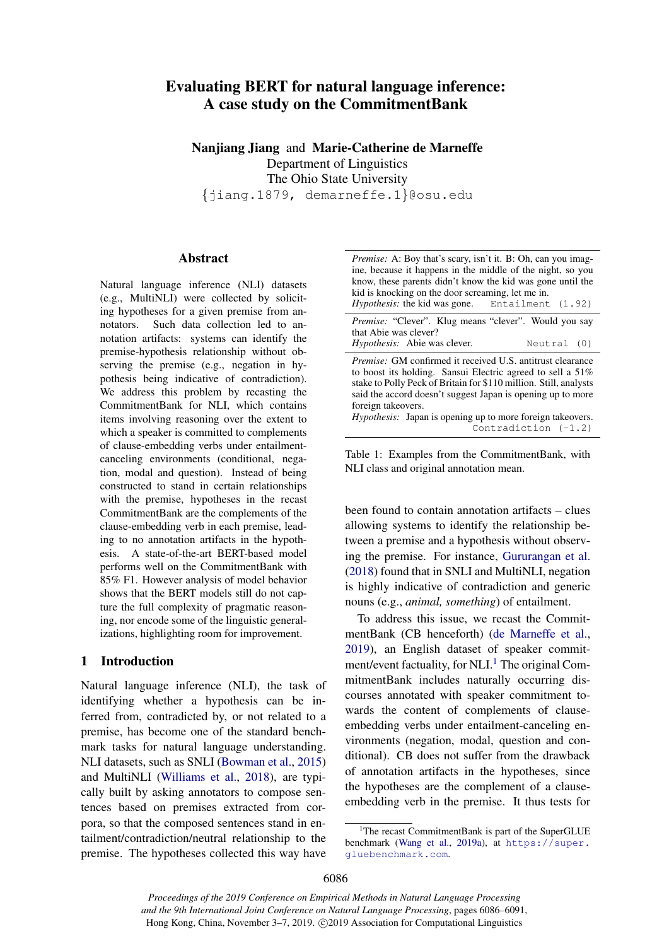# Evaluating BERT for natural language inference: A case study on the CommitmentBank

Nanjiang Jiang and Marie-Catherine de Marneffe Department of Linguistics The Ohio State University {jiang.1879, demarneffe.1}@osu.edu

#### Abstract

Natural language inference (NLI) datasets (e.g., MultiNLI) were collected by soliciting hypotheses for a given premise from annotators. Such data collection led to annotation artifacts: systems can identify the premise-hypothesis relationship without observing the premise (e.g., negation in hypothesis being indicative of contradiction). We address this problem by recasting the CommitmentBank for NLI, which contains items involving reasoning over the extent to which a speaker is committed to complements of clause-embedding verbs under entailmentcanceling environments (conditional, negation, modal and question). Instead of being constructed to stand in certain relationships with the premise, hypotheses in the recast CommitmentBank are the complements of the clause-embedding verb in each premise, leading to no annotation artifacts in the hypothesis. A state-of-the-art BERT-based model performs well on the CommitmentBank with 85% F1. However analysis of model behavior shows that the BERT models still do not capture the full complexity of pragmatic reasoning, nor encode some of the linguistic generalizations, highlighting room for improvement.

#### 1 Introduction

Natural language inference (NLI), the task of identifying whether a hypothesis can be inferred from, contradicted by, or not related to a premise, has become one of the standard benchmark tasks for natural language understanding. NLI datasets, such as SNLI [\(Bowman et al.,](#page-5-0) [2015\)](#page-5-0) and MultiNLI [\(Williams et al.,](#page-5-1) [2018\)](#page-5-1), are typically built by asking annotators to compose sentences based on premises extracted from corpora, so that the composed sentences stand in entailment/contradiction/neutral relationship to the premise. The hypotheses collected this way have

<span id="page-0-1"></span>

| <i>Premise:</i> A: Boy that's scary, isn't it. B: Oh, can you imag-<br>ine, because it happens in the middle of the night, so you<br>know, these parents didn't know the kid was gone until the<br>kid is knocking on the door screaming, let me in.<br><i>Hypothesis:</i> the kid was gone. Entailment (1.92)                                            |
|-----------------------------------------------------------------------------------------------------------------------------------------------------------------------------------------------------------------------------------------------------------------------------------------------------------------------------------------------------------|
| <i>Premise:</i> "Clever". Klug means "clever". Would you say<br>that Abie was clever?<br><i>Hypothesis:</i> Abie was clever.<br>Neutral (0)                                                                                                                                                                                                               |
| <i>Premise:</i> GM confirmed it received U.S. antitrust clearance<br>to boost its holding. Sansui Electric agreed to sell a $51\%$<br>stake to Polly Peck of Britain for \$110 million. Still, analysts<br>said the accord doesn't suggest Japan is opening up to more<br>foreign takeovers.<br>Hypothesis: Japan is opening up to more foreign takeovers |

*Hypothesis:* Japan is opening up to more Contradiction (-1.2)

Table 1: Examples from the CommitmentBank, with NLI class and original annotation mean.

been found to contain annotation artifacts – clues allowing systems to identify the relationship between a premise and a hypothesis without observing the premise. For instance, [Gururangan et al.](#page-5-2) [\(2018\)](#page-5-2) found that in SNLI and MultiNLI, negation is highly indicative of contradiction and generic nouns (e.g., *animal, something*) of entailment.

To address this issue, we recast the CommitmentBank (CB henceforth) [\(de Marneffe et al.,](#page-5-3) [2019\)](#page-5-3), an English dataset of speaker commitment/event factuality, for  $NLI$ .<sup>[1](#page-0-0)</sup> The original CommitmentBank includes naturally occurring discourses annotated with speaker commitment towards the content of complements of clauseembedding verbs under entailment-canceling environments (negation, modal, question and conditional). CB does not suffer from the drawback of annotation artifacts in the hypotheses, since the hypotheses are the complement of a clauseembedding verb in the premise. It thus tests for

*Proceedings of the 2019 Conference on Empirical Methods in Natural Language Processing and the 9th International Joint Conference on Natural Language Processing*, pages 6086–6091, Hong Kong, China, November 3–7, 2019. ©2019 Association for Computational Linguistics

<span id="page-0-0"></span><sup>&</sup>lt;sup>1</sup>The recast CommitmentBank is part of the SuperGLUE benchmark [\(Wang et al.,](#page-5-4) [2019a\)](#page-5-4), at [https://super.](https://super.gluebenchmark.com) [gluebenchmark.com](https://super.gluebenchmark.com).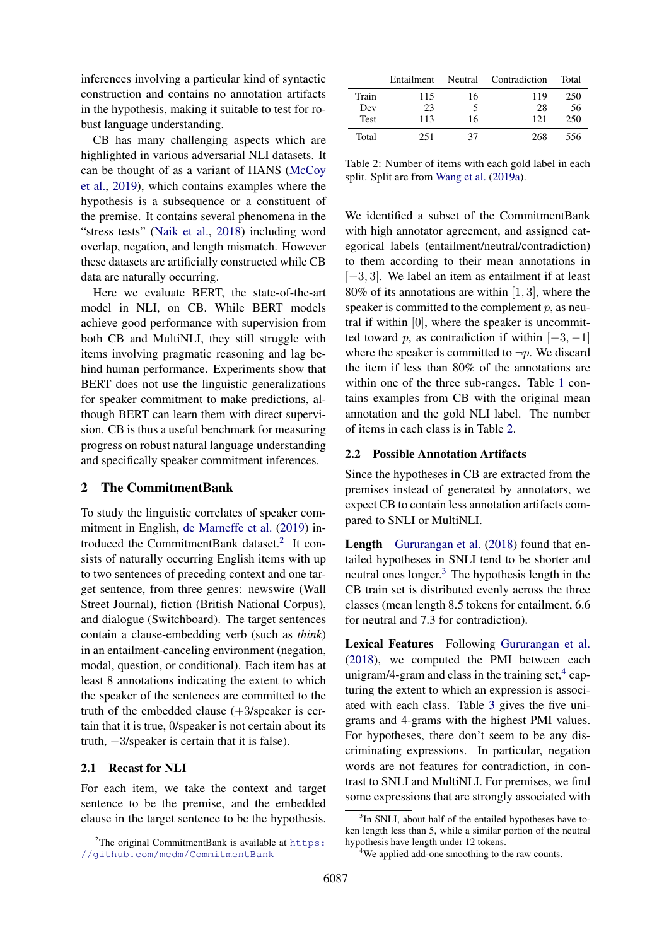inferences involving a particular kind of syntactic construction and contains no annotation artifacts in the hypothesis, making it suitable to test for robust language understanding.

CB has many challenging aspects which are highlighted in various adversarial NLI datasets. It can be thought of as a variant of HANS [\(McCoy](#page-5-5) [et al.,](#page-5-5) [2019\)](#page-5-5), which contains examples where the hypothesis is a subsequence or a constituent of the premise. It contains several phenomena in the "stress tests" [\(Naik et al.,](#page-5-6) [2018\)](#page-5-6) including word overlap, negation, and length mismatch. However these datasets are artificially constructed while CB data are naturally occurring.

Here we evaluate BERT, the state-of-the-art model in NLI, on CB. While BERT models achieve good performance with supervision from both CB and MultiNLI, they still struggle with items involving pragmatic reasoning and lag behind human performance. Experiments show that BERT does not use the linguistic generalizations for speaker commitment to make predictions, although BERT can learn them with direct supervision. CB is thus a useful benchmark for measuring progress on robust natural language understanding and specifically speaker commitment inferences.

## 2 The CommitmentBank

To study the linguistic correlates of speaker commitment in English, [de Marneffe et al.](#page-5-3) [\(2019\)](#page-5-3) in-troduced the CommitmentBank dataset.<sup>[2](#page-1-0)</sup> It consists of naturally occurring English items with up to two sentences of preceding context and one target sentence, from three genres: newswire (Wall Street Journal), fiction (British National Corpus), and dialogue (Switchboard). The target sentences contain a clause-embedding verb (such as *think*) in an entailment-canceling environment (negation, modal, question, or conditional). Each item has at least 8 annotations indicating the extent to which the speaker of the sentences are committed to the truth of the embedded clause  $(+3$ /speaker is certain that it is true, 0/speaker is not certain about its truth, −3/speaker is certain that it is false).

# 2.1 Recast for NLI

For each item, we take the context and target sentence to be the premise, and the embedded clause in the target sentence to be the hypothesis.

<span id="page-1-1"></span>

|       | Entailment |    | Neutral Contradiction | Total |
|-------|------------|----|-----------------------|-------|
| Train | 115        | 16 | 119                   | 250   |
| Dev   | 23         |    | 28                    | 56    |
| Test  | 113        | 16 | 121                   | 250   |
| Total | 251        | 37 | 268                   | 556   |

Table 2: Number of items with each gold label in each split. Split are from [Wang et al.](#page-5-4) [\(2019a\)](#page-5-4).

We identified a subset of the CommitmentBank with high annotator agreement, and assigned categorical labels (entailment/neutral/contradiction) to them according to their mean annotations in [−3, 3]. We label an item as entailment if at least 80% of its annotations are within [1, 3], where the speaker is committed to the complement  $p$ , as neutral if within [0], where the speaker is uncommitted toward p, as contradiction if within  $[-3, -1]$ where the speaker is committed to  $\neg p$ . We discard the item if less than 80% of the annotations are within one of the three sub-ranges. Table [1](#page-0-1) contains examples from CB with the original mean annotation and the gold NLI label. The number of items in each class is in Table [2.](#page-1-1)

# <span id="page-1-4"></span>2.2 Possible Annotation Artifacts

Since the hypotheses in CB are extracted from the premises instead of generated by annotators, we expect CB to contain less annotation artifacts compared to SNLI or MultiNLI.

Length [Gururangan et al.](#page-5-2) [\(2018\)](#page-5-2) found that entailed hypotheses in SNLI tend to be shorter and neutral ones longer. $3$  The hypothesis length in the CB train set is distributed evenly across the three classes (mean length 8.5 tokens for entailment, 6.6 for neutral and 7.3 for contradiction).

Lexical Features Following [Gururangan et al.](#page-5-2) [\(2018\)](#page-5-2), we computed the PMI between each unigram/[4](#page-1-3)-gram and class in the training set, $4$  capturing the extent to which an expression is associated with each class. Table [3](#page-2-0) gives the five unigrams and 4-grams with the highest PMI values. For hypotheses, there don't seem to be any discriminating expressions. In particular, negation words are not features for contradiction, in contrast to SNLI and MultiNLI. For premises, we find some expressions that are strongly associated with

<span id="page-1-0"></span><sup>&</sup>lt;sup>2</sup>The original CommitmentBank is available at  $https:$ [//github.com/mcdm/CommitmentBank](https://github.com/mcdm/CommitmentBank)

<span id="page-1-2"></span><sup>&</sup>lt;sup>3</sup>In SNLI, about half of the entailed hypotheses have token length less than 5, while a similar portion of the neutral hypothesis have length under 12 tokens.

<span id="page-1-3"></span><sup>&</sup>lt;sup>4</sup>We applied add-one smoothing to the raw counts.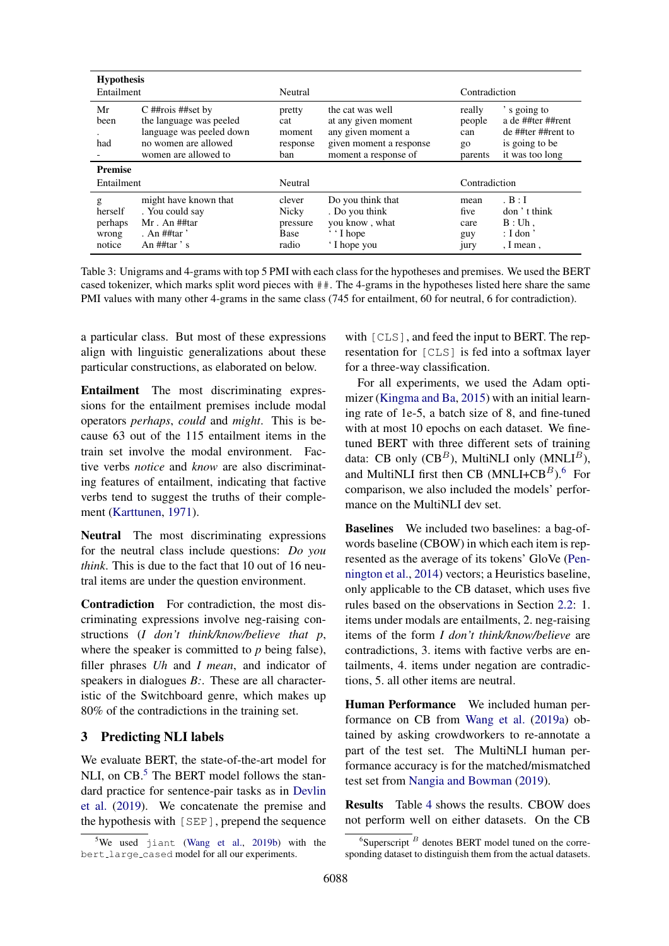<span id="page-2-0"></span>

| <b>Hypothesis</b><br>Entailment            |                                                                                                                            | Neutral                                      |                                                                                                                  | Contradiction                              |                                                                                             |
|--------------------------------------------|----------------------------------------------------------------------------------------------------------------------------|----------------------------------------------|------------------------------------------------------------------------------------------------------------------|--------------------------------------------|---------------------------------------------------------------------------------------------|
| Mr<br>been<br>had                          | $C$ ##rois ##set by<br>the language was peeled<br>language was peeled down<br>no women are allowed<br>women are allowed to | pretty<br>cat<br>moment<br>response<br>ban   | the cat was well<br>at any given moment<br>any given moment a<br>given moment a response<br>moment a response of | really<br>people<br>can<br>go<br>parents   | 's going to<br>a de ##ter ##rent<br>de ##ter ##rent to<br>is going to be<br>it was too long |
| <b>Premise</b><br>Entailment               |                                                                                                                            | Neutral                                      |                                                                                                                  | Contradiction                              |                                                                                             |
| g<br>herself<br>perhaps<br>wrong<br>notice | might have known that<br>. You could say<br>$Mr$ . An $\#$ #tar<br>. An $\#$ #tar '<br>An $\#$ #tar $\degree$ s            | clever<br>Nicky<br>pressure<br>Base<br>radio | Do you think that<br>. Do you think<br>you know, what<br>$\cdot \cdot$ I hope<br>'I hope you                     | mean<br>five<br>care<br>guy<br><i>jury</i> | B: I<br>don't think<br>B:Uh.<br>$:$ I don'<br>, I mean,                                     |

Table 3: Unigrams and 4-grams with top 5 PMI with each class for the hypotheses and premises. We used the BERT cased tokenizer, which marks split word pieces with ##. The 4-grams in the hypotheses listed here share the same PMI values with many other 4-grams in the same class (745 for entailment, 60 for neutral, 6 for contradiction).

a particular class. But most of these expressions align with linguistic generalizations about these particular constructions, as elaborated on below.

Entailment The most discriminating expressions for the entailment premises include modal operators *perhaps*, *could* and *might*. This is because 63 out of the 115 entailment items in the train set involve the modal environment. Factive verbs *notice* and *know* are also discriminating features of entailment, indicating that factive verbs tend to suggest the truths of their complement [\(Karttunen,](#page-5-7) [1971\)](#page-5-7).

Neutral The most discriminating expressions for the neutral class include questions: *Do you think*. This is due to the fact that 10 out of 16 neutral items are under the question environment.

Contradiction For contradiction, the most discriminating expressions involve neg-raising constructions (*I don't think/know/believe that p*, where the speaker is committed to *p* being false), filler phrases *Uh* and *I mean*, and indicator of speakers in dialogues *B:*. These are all characteristic of the Switchboard genre, which makes up 80% of the contradictions in the training set.

## 3 Predicting NLI labels

We evaluate BERT, the state-of-the-art model for NLI, on  $CB$ <sup>[5](#page-2-1)</sup>. The BERT model follows the standard practice for sentence-pair tasks as in [Devlin](#page-5-8) [et al.](#page-5-8) [\(2019\)](#page-5-8). We concatenate the premise and the hypothesis with [SEP], prepend the sequence with [CLS], and feed the input to BERT. The representation for [CLS] is fed into a softmax layer for a three-way classification.

For all experiments, we used the Adam optimizer [\(Kingma and Ba,](#page-5-10) [2015\)](#page-5-10) with an initial learning rate of 1e-5, a batch size of 8, and fine-tuned with at most 10 epochs on each dataset. We finetuned BERT with three different sets of training data: CB only  $(CB^B)$ , MultiNLI only  $(MNLI^B)$ , and MultiNLI first then CB (MNLI+CB $^B$ ).<sup>[6](#page-2-2)</sup> For comparison, we also included the models' performance on the MultiNLI dev set.

Baselines We included two baselines: a bag-ofwords baseline (CBOW) in which each item is represented as the average of its tokens' GloVe [\(Pen](#page-5-11)[nington et al.,](#page-5-11) [2014\)](#page-5-11) vectors; a Heuristics baseline, only applicable to the CB dataset, which uses five rules based on the observations in Section [2.2:](#page-1-4) 1. items under modals are entailments, 2. neg-raising items of the form *I don't think/know/believe* are contradictions, 3. items with factive verbs are entailments, 4. items under negation are contradictions, 5. all other items are neutral.

Human Performance We included human performance on CB from [Wang et al.](#page-5-4) [\(2019a\)](#page-5-4) obtained by asking crowdworkers to re-annotate a part of the test set. The MultiNLI human performance accuracy is for the matched/mismatched test set from [Nangia and Bowman](#page-5-12) [\(2019\)](#page-5-12).

Results Table [4](#page-3-0) shows the results. CBOW does not perform well on either datasets. On the CB

<span id="page-2-1"></span> $5$ We used jiant [\(Wang et al.,](#page-5-9) [2019b\)](#page-5-9) with the bert large cased model for all our experiments.

<span id="page-2-2"></span> ${}^{6}$ Superscript  ${}^{B}$  denotes BERT model tuned on the corresponding dataset to distinguish them from the actual datasets.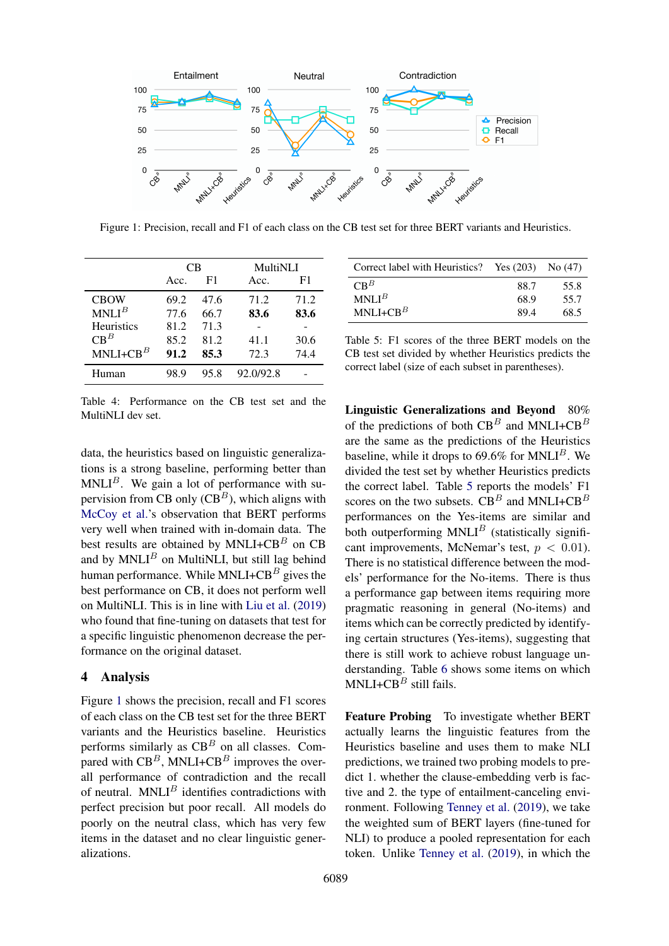<span id="page-3-1"></span>

Figure 1: Precision, recall and F1 of each class on the CB test set for three BERT variants and Heuristics.

<span id="page-3-0"></span>

|                   | CВ   |      | MultiNLI  |      |
|-------------------|------|------|-----------|------|
|                   | Acc. | F1   | Acc.      | F1   |
| <b>CBOW</b>       | 69.2 | 47.6 | 71.2      | 71.2 |
| MNLI <sup>B</sup> | 77.6 | 66.7 | 83.6      | 83.6 |
| <b>Heuristics</b> | 81.2 | 71.3 |           |      |
| $CB^B$            | 85.2 | 81.2 | 41.1      | 30.6 |
| $MNLI+CBB$        | 91.2 | 85.3 | 72.3      | 74.4 |
| Human             | 98.9 | 95.8 | 92.0/92.8 |      |

Table 4: Performance on the CB test set and the MultiNLI dev set.

data, the heuristics based on linguistic generalizations is a strong baseline, performing better than  $MNLI<sup>B</sup>$ . We gain a lot of performance with supervision from CB only  $(CB^B)$ , which aligns with [McCoy et al.'](#page-5-5)s observation that BERT performs very well when trained with in-domain data. The best results are obtained by  $MNLI+CB<sup>B</sup>$  on CB and by  $MNLI<sup>B</sup>$  on MultiNLI, but still lag behind human performance. While MNLI+ $CB^B$  gives the best performance on CB, it does not perform well on MultiNLI. This is in line with [Liu et al.](#page-5-13) [\(2019\)](#page-5-13) who found that fine-tuning on datasets that test for a specific linguistic phenomenon decrease the performance on the original dataset.

## 4 Analysis

Figure [1](#page-3-1) shows the precision, recall and F1 scores of each class on the CB test set for the three BERT variants and the Heuristics baseline. Heuristics performs similarly as  $CB^B$  on all classes. Compared with  $CB^B$ , MNLI+CB<sup>B</sup> improves the overall performance of contradiction and the recall of neutral.  $MNLI<sup>B</sup>$  identifies contradictions with perfect precision but poor recall. All models do poorly on the neutral class, which has very few items in the dataset and no clear linguistic generalizations.

<span id="page-3-2"></span>

| Correct label with Heuristics? Yes $(203)$ No $(47)$ |      |
|------------------------------------------------------|------|
| 88.7                                                 | 55.8 |
| 68.9                                                 | 55.7 |
| 89.4                                                 | 68.5 |
|                                                      |      |

Table 5: F1 scores of the three BERT models on the CB test set divided by whether Heuristics predicts the correct label (size of each subset in parentheses).

Linguistic Generalizations and Beyond 80% of the predictions of both  $CB^B$  and MNLI+CB<sup>B</sup> are the same as the predictions of the Heuristics baseline, while it drops to 69.6% for  $MNLI<sup>B</sup>$ . We divided the test set by whether Heuristics predicts the correct label. Table [5](#page-3-2) reports the models' F1 scores on the two subsets.  $\angle{CB}^B$  and MNLI+CB<sup>B</sup> performances on the Yes-items are similar and both outperforming  $MNLI<sup>B</sup>$  (statistically significant improvements, McNemar's test,  $p < 0.01$ ). There is no statistical difference between the models' performance for the No-items. There is thus a performance gap between items requiring more pragmatic reasoning in general (No-items) and items which can be correctly predicted by identifying certain structures (Yes-items), suggesting that there is still work to achieve robust language understanding. Table [6](#page-4-0) shows some items on which MNLI+CB $<sup>B</sup>$  still fails.</sup>

Feature Probing To investigate whether BERT actually learns the linguistic features from the Heuristics baseline and uses them to make NLI predictions, we trained two probing models to predict 1. whether the clause-embedding verb is factive and 2. the type of entailment-canceling environment. Following [Tenney et al.](#page-5-14) [\(2019\)](#page-5-14), we take the weighted sum of BERT layers (fine-tuned for NLI) to produce a pooled representation for each token. Unlike [Tenney et al.](#page-5-14) [\(2019\)](#page-5-14), in which the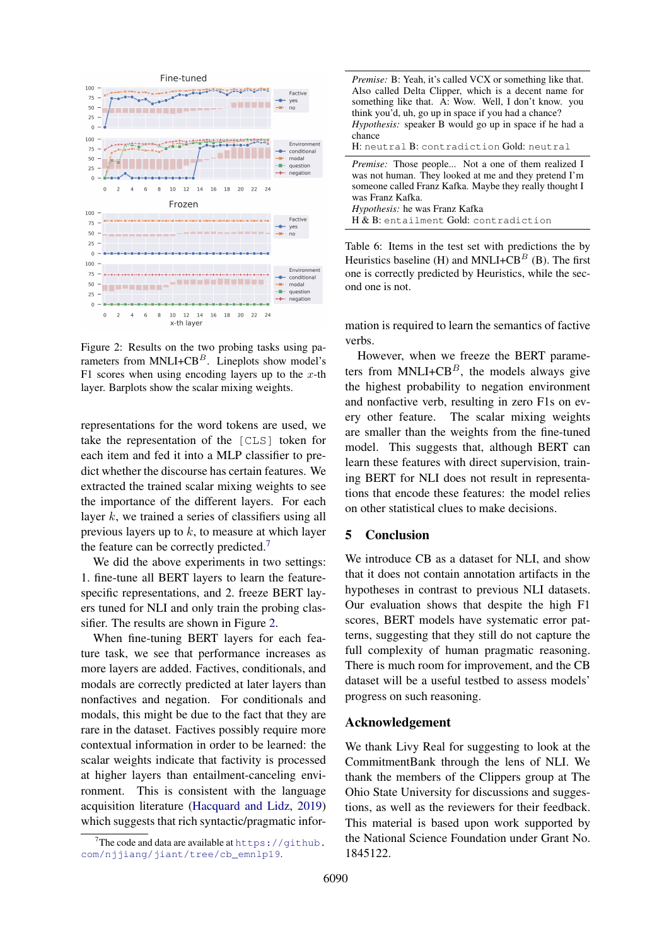<span id="page-4-2"></span>

Figure 2: Results on the two probing tasks using parameters from  $MNLI+CB<sup>B</sup>$ . Lineplots show model's F1 scores when using encoding layers up to the  $x$ -th layer. Barplots show the scalar mixing weights.

representations for the word tokens are used, we take the representation of the [CLS] token for each item and fed it into a MLP classifier to predict whether the discourse has certain features. We extracted the trained scalar mixing weights to see the importance of the different layers. For each layer  $k$ , we trained a series of classifiers using all previous layers up to  $k$ , to measure at which layer the feature can be correctly predicted.[7](#page-4-1)

We did the above experiments in two settings: 1. fine-tune all BERT layers to learn the featurespecific representations, and 2. freeze BERT layers tuned for NLI and only train the probing classifier. The results are shown in Figure [2.](#page-4-2)

When fine-tuning BERT layers for each feature task, we see that performance increases as more layers are added. Factives, conditionals, and modals are correctly predicted at later layers than nonfactives and negation. For conditionals and modals, this might be due to the fact that they are rare in the dataset. Factives possibly require more contextual information in order to be learned: the scalar weights indicate that factivity is processed at higher layers than entailment-canceling environment. This is consistent with the language acquisition literature [\(Hacquard and Lidz,](#page-5-15) [2019\)](#page-5-15) which suggests that rich syntactic/pragmatic infor<span id="page-4-0"></span>*Premise:* B: Yeah, it's called VCX or something like that. Also called Delta Clipper, which is a decent name for something like that. A: Wow. Well, I don't know. you think you'd, uh, go up in space if you had a chance? *Hypothesis:* speaker B would go up in space if he had a chance H: neutral B: contradiction Gold: neutral

*Premise:* Those people... Not a one of them realized I was not human. They looked at me and they pretend I'm someone called Franz Kafka. Maybe they really thought I was Franz Kafka. *Hypothesis:* he was Franz Kafka H & B: entailment Gold: contradiction

Table 6: Items in the test set with predictions the by Heuristics baseline (H) and MNLI+CB<sup>B</sup> (B). The first one is correctly predicted by Heuristics, while the second one is not.

mation is required to learn the semantics of factive verbs.

However, when we freeze the BERT parameters from MNLI+ $CB^B$ , the models always give the highest probability to negation environment and nonfactive verb, resulting in zero F1s on every other feature. The scalar mixing weights are smaller than the weights from the fine-tuned model. This suggests that, although BERT can learn these features with direct supervision, training BERT for NLI does not result in representations that encode these features: the model relies on other statistical clues to make decisions.

# 5 Conclusion

We introduce CB as a dataset for NLI, and show that it does not contain annotation artifacts in the hypotheses in contrast to previous NLI datasets. Our evaluation shows that despite the high F1 scores, BERT models have systematic error patterns, suggesting that they still do not capture the full complexity of human pragmatic reasoning. There is much room for improvement, and the CB dataset will be a useful testbed to assess models' progress on such reasoning.

### Acknowledgement

We thank Livy Real for suggesting to look at the CommitmentBank through the lens of NLI. We thank the members of the Clippers group at The Ohio State University for discussions and suggestions, as well as the reviewers for their feedback. This material is based upon work supported by the National Science Foundation under Grant No. 1845122.

<span id="page-4-1"></span><sup>&</sup>lt;sup>7</sup>The code and data are available at  $h$ ttps://github. [com/njjiang/jiant/tree/cb\\_emnlp19](https://github.com/njjiang/jiant/tree/cb_emnlp19).